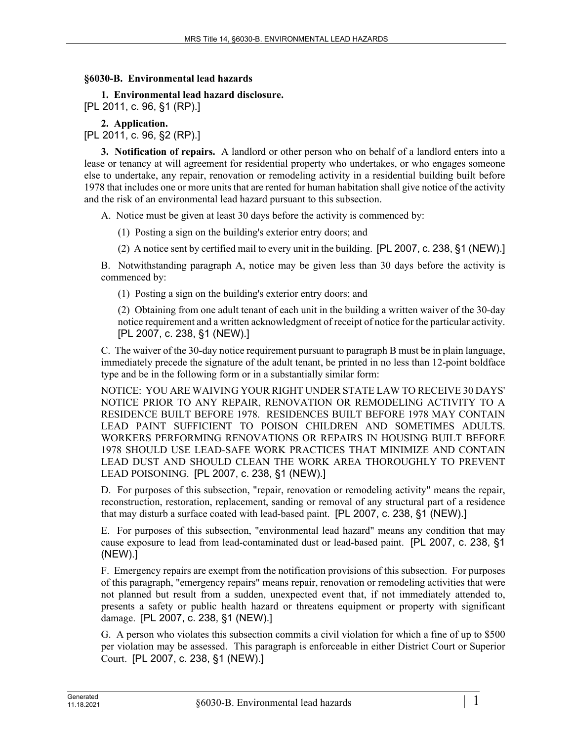## **§6030-B. Environmental lead hazards**

**1. Environmental lead hazard disclosure.**  [PL 2011, c. 96, §1 (RP).]

**2. Application.** 

[PL 2011, c. 96, §2 (RP).]

**3. Notification of repairs.** A landlord or other person who on behalf of a landlord enters into a lease or tenancy at will agreement for residential property who undertakes, or who engages someone else to undertake, any repair, renovation or remodeling activity in a residential building built before 1978 that includes one or more units that are rented for human habitation shall give notice of the activity and the risk of an environmental lead hazard pursuant to this subsection.

A. Notice must be given at least 30 days before the activity is commenced by:

(1) Posting a sign on the building's exterior entry doors; and

(2) A notice sent by certified mail to every unit in the building. [PL 2007, c. 238, §1 (NEW).]

B. Notwithstanding paragraph A, notice may be given less than 30 days before the activity is commenced by:

(1) Posting a sign on the building's exterior entry doors; and

(2) Obtaining from one adult tenant of each unit in the building a written waiver of the 30-day notice requirement and a written acknowledgment of receipt of notice for the particular activity. [PL 2007, c. 238, §1 (NEW).]

C. The waiver of the 30-day notice requirement pursuant to paragraph B must be in plain language, immediately precede the signature of the adult tenant, be printed in no less than 12-point boldface type and be in the following form or in a substantially similar form:

NOTICE: YOU ARE WAIVING YOUR RIGHT UNDER STATE LAW TO RECEIVE 30 DAYS' NOTICE PRIOR TO ANY REPAIR, RENOVATION OR REMODELING ACTIVITY TO A RESIDENCE BUILT BEFORE 1978. RESIDENCES BUILT BEFORE 1978 MAY CONTAIN LEAD PAINT SUFFICIENT TO POISON CHILDREN AND SOMETIMES ADULTS. WORKERS PERFORMING RENOVATIONS OR REPAIRS IN HOUSING BUILT BEFORE 1978 SHOULD USE LEAD-SAFE WORK PRACTICES THAT MINIMIZE AND CONTAIN LEAD DUST AND SHOULD CLEAN THE WORK AREA THOROUGHLY TO PREVENT LEAD POISONING. [PL 2007, c. 238, §1 (NEW).]

D. For purposes of this subsection, "repair, renovation or remodeling activity" means the repair, reconstruction, restoration, replacement, sanding or removal of any structural part of a residence that may disturb a surface coated with lead-based paint. [PL 2007, c. 238, §1 (NEW).]

E. For purposes of this subsection, "environmental lead hazard" means any condition that may cause exposure to lead from lead-contaminated dust or lead-based paint. [PL 2007, c. 238, §1 (NEW).]

F. Emergency repairs are exempt from the notification provisions of this subsection. For purposes of this paragraph, "emergency repairs" means repair, renovation or remodeling activities that were not planned but result from a sudden, unexpected event that, if not immediately attended to, presents a safety or public health hazard or threatens equipment or property with significant damage. [PL 2007, c. 238, §1 (NEW).]

G. A person who violates this subsection commits a civil violation for which a fine of up to \$500 per violation may be assessed. This paragraph is enforceable in either District Court or Superior Court. [PL 2007, c. 238, §1 (NEW).]